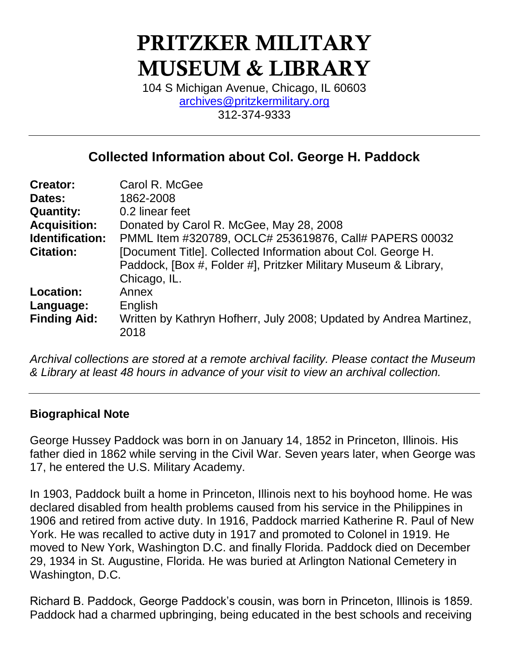# PRITZKER MILITARY MUSEUM & LIBRARY

104 S Michigan Avenue, Chicago, IL 60603 [archives@pritzkermilitary.org](mailto:archives@pritzkermilitary.org) 312-374-9333

# **Collected Information about Col. George H. Paddock**

| Carol R. McGee                                                     |
|--------------------------------------------------------------------|
| 1862-2008                                                          |
| 0.2 linear feet                                                    |
| Donated by Carol R. McGee, May 28, 2008                            |
| PMML Item #320789, OCLC# 253619876, Call# PAPERS 00032             |
| [Document Title]. Collected Information about Col. George H.       |
| Paddock, [Box #, Folder #], Pritzker Military Museum & Library,    |
| Chicago, IL.                                                       |
| Annex                                                              |
| English                                                            |
| Written by Kathryn Hofherr, July 2008; Updated by Andrea Martinez, |
| 2018                                                               |
|                                                                    |

*Archival collections are stored at a remote archival facility. Please contact the Museum & Library at least 48 hours in advance of your visit to view an archival collection.*

## **Biographical Note**

George Hussey Paddock was born in on January 14, 1852 in Princeton, Illinois. His father died in 1862 while serving in the Civil War. Seven years later, when George was 17, he entered the U.S. Military Academy.

In 1903, Paddock built a home in Princeton, Illinois next to his boyhood home. He was declared disabled from health problems caused from his service in the Philippines in 1906 and retired from active duty. In 1916, Paddock married Katherine R. Paul of New York. He was recalled to active duty in 1917 and promoted to Colonel in 1919. He moved to New York, Washington D.C. and finally Florida. Paddock died on December 29, 1934 in St. Augustine, Florida. He was buried at Arlington National Cemetery in Washington, D.C.

Richard B. Paddock, George Paddock's cousin, was born in Princeton, Illinois is 1859. Paddock had a charmed upbringing, being educated in the best schools and receiving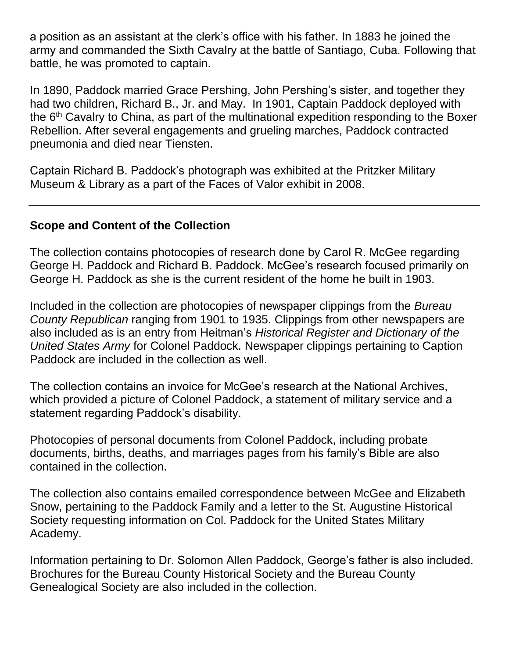a position as an assistant at the clerk's office with his father. In 1883 he joined the army and commanded the Sixth Cavalry at the battle of Santiago, Cuba. Following that battle, he was promoted to captain.

In 1890, Paddock married Grace Pershing, John Pershing's sister, and together they had two children, Richard B., Jr. and May. In 1901, Captain Paddock deployed with the  $6<sup>th</sup>$  Cavalry to China, as part of the multinational expedition responding to the Boxer Rebellion. After several engagements and grueling marches, Paddock contracted pneumonia and died near Tiensten.

Captain Richard B. Paddock's photograph was exhibited at the Pritzker Military Museum & Library as a part of the Faces of Valor exhibit in 2008.

## **Scope and Content of the Collection**

The collection contains photocopies of research done by Carol R. McGee regarding George H. Paddock and Richard B. Paddock. McGee's research focused primarily on George H. Paddock as she is the current resident of the home he built in 1903.

Included in the collection are photocopies of newspaper clippings from the *Bureau County Republican* ranging from 1901 to 1935. Clippings from other newspapers are also included as is an entry from Heitman's *Historical Register and Dictionary of the United States Army* for Colonel Paddock. Newspaper clippings pertaining to Caption Paddock are included in the collection as well.

The collection contains an invoice for McGee's research at the National Archives, which provided a picture of Colonel Paddock, a statement of military service and a statement regarding Paddock's disability.

Photocopies of personal documents from Colonel Paddock, including probate documents, births, deaths, and marriages pages from his family's Bible are also contained in the collection.

The collection also contains emailed correspondence between McGee and Elizabeth Snow, pertaining to the Paddock Family and a letter to the St. Augustine Historical Society requesting information on Col. Paddock for the United States Military Academy.

Information pertaining to Dr. Solomon Allen Paddock, George's father is also included. Brochures for the Bureau County Historical Society and the Bureau County Genealogical Society are also included in the collection.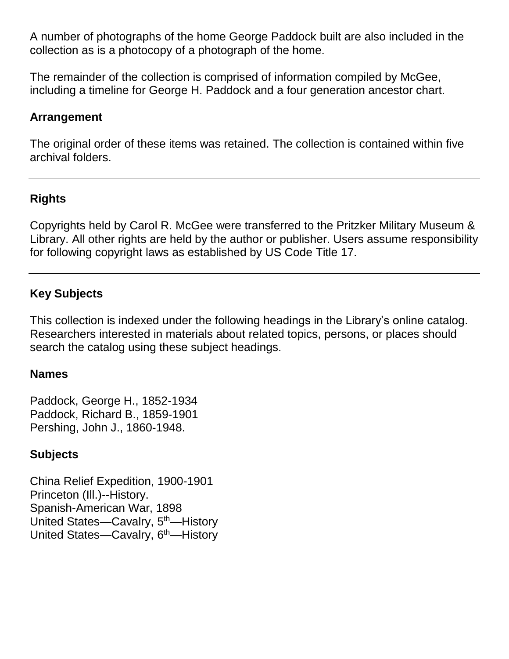A number of photographs of the home George Paddock built are also included in the collection as is a photocopy of a photograph of the home.

The remainder of the collection is comprised of information compiled by McGee, including a timeline for George H. Paddock and a four generation ancestor chart.

## **Arrangement**

The original order of these items was retained. The collection is contained within five archival folders.

# **Rights**

Copyrights held by Carol R. McGee were transferred to the Pritzker Military Museum & Library. All other rights are held by the author or publisher. Users assume responsibility for following copyright laws as established by US Code Title 17.

# **Key Subjects**

This collection is indexed under the following headings in the Library's online catalog. Researchers interested in materials about related topics, persons, or places should search the catalog using these subject headings.

## **Names**

Paddock, George H., 1852-1934 Paddock, Richard B., 1859-1901 Pershing, John J., 1860-1948.

## **Subjects**

China Relief Expedition, 1900-1901 Princeton (Ill.)--History. Spanish-American War, 1898 United States—Cavalry, 5<sup>th</sup>—History United States-Cavalry, 6<sup>th</sup>-History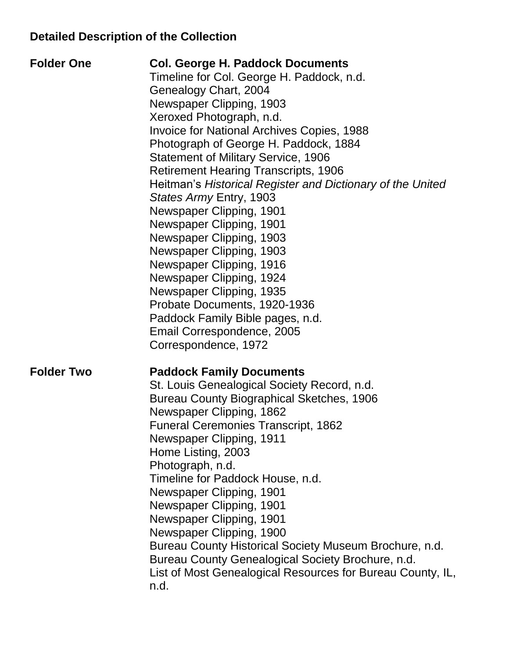# **Detailed Description of the Collection**

| <b>Folder One</b> | <b>Col. George H. Paddock Documents</b><br>Timeline for Col. George H. Paddock, n.d.<br>Genealogy Chart, 2004<br>Newspaper Clipping, 1903<br>Xeroxed Photograph, n.d.<br><b>Invoice for National Archives Copies, 1988</b><br>Photograph of George H. Paddock, 1884<br><b>Statement of Military Service, 1906</b><br><b>Retirement Hearing Transcripts, 1906</b><br>Heitman's Historical Register and Dictionary of the United<br>States Army Entry, 1903<br>Newspaper Clipping, 1901<br>Newspaper Clipping, 1901<br>Newspaper Clipping, 1903<br>Newspaper Clipping, 1903<br>Newspaper Clipping, 1916<br>Newspaper Clipping, 1924<br>Newspaper Clipping, 1935<br>Probate Documents, 1920-1936<br>Paddock Family Bible pages, n.d.<br>Email Correspondence, 2005 |
|-------------------|-----------------------------------------------------------------------------------------------------------------------------------------------------------------------------------------------------------------------------------------------------------------------------------------------------------------------------------------------------------------------------------------------------------------------------------------------------------------------------------------------------------------------------------------------------------------------------------------------------------------------------------------------------------------------------------------------------------------------------------------------------------------|
| <b>Folder Two</b> | Correspondence, 1972<br><b>Paddock Family Documents</b><br>St. Louis Genealogical Society Record, n.d.<br><b>Bureau County Biographical Sketches, 1906</b><br>Newspaper Clipping, 1862<br><b>Funeral Ceremonies Transcript, 1862</b><br>Newspaper Clipping, 1911<br>Home Listing, 2003<br>Photograph, n.d.<br>Timeline for Paddock House, n.d.<br>Newspaper Clipping, 1901<br>Newspaper Clipping, 1901<br>Newspaper Clipping, 1901<br>Newspaper Clipping, 1900<br>Bureau County Historical Society Museum Brochure, n.d.<br>Bureau County Genealogical Society Brochure, n.d.<br>List of Most Genealogical Resources for Bureau County, IL,<br>n.d.                                                                                                             |